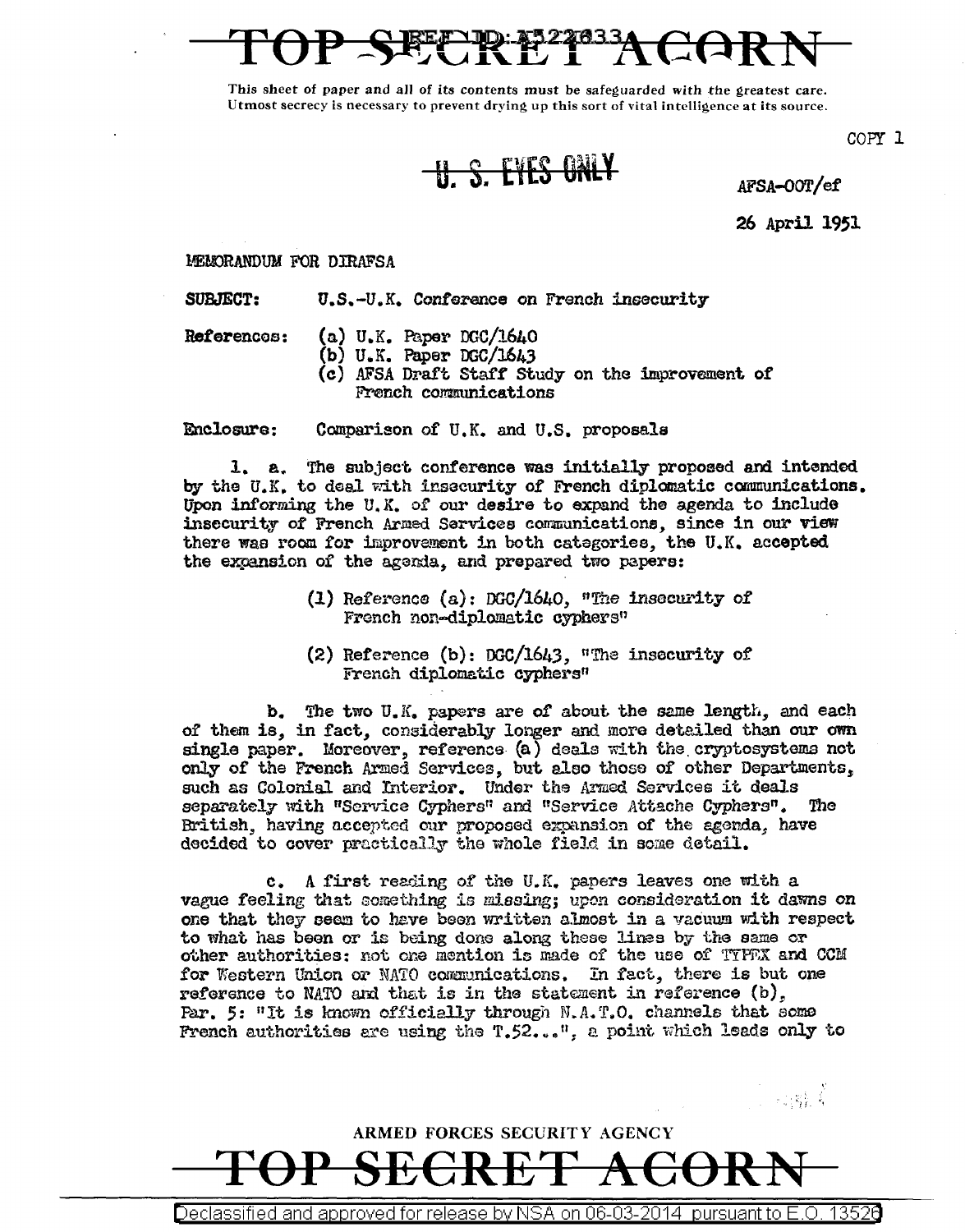This sheet of paper and all of its contents must be safeguarded with the greatest care. Utmost secrecy is necessary to prevent drying up this sort of vital intelligence at its source.

U. S. EYES ONLY AFSA-OOT/ef

COPY 1

26 April 1951

·, ,\_ f f - • <sup>~</sup>

MENORANDUM FOR DIRAFSA

SUBJECT: u.s.-u.K. Conference on French insecurity

References:

- (a) U.K. Paper DGC/1640
- (b) U.K. Paper DGC/1643
- (c) AFSA Draft Staff Study on the improvement of French conmmications

Enclosure: Comparison of U.K. and U.S. proposals

1. a. The subject conference was initially proposed and intended by the U.K. to deal with insecurity of French diplomatic communications. Upon informing the U.K. of our desire to expand the agenda to include insecurity of French Armed Sarvices communications, since in our view there was room for improvement in both categories, the U.K. accepted the expansion of the agenda, and prepared two papers:

- (1) Reference (a.): DGC/1640, *"fue* insecurity of French non-diplomatic cyphers"
- (2) Reference (b): DGC/1643, "The insecurity of FTench diplomatic cyphers"

b. The two U.K. papers are of about the same length, and each of them is, in fact, considerably longer and more detailed than our own single paper. Moreover, reference (a) deals with the cryptosystems not only of the French Armed Services, but also those of other Departments, such as Colonial and Interior. Under the Armed Services it deals separately with "Service Cyphers" and "Service Attache Cyphers". The British, having accepted our proposed expansion of the agenda, have decided to cover practically the whole field in some detail.

c. A first reading of the U.K. papers leaves one with a vague feeling that something is missing; upon consideration it dawns on one that they seem to have been written almost in a vacuum with respect to what has been or is being done along these lines by the same or other authorities: not one mention is made of the use of TYFFX and CCM for Western Union or NATO communications. In fact, there is but one reference to NATO and that is in the statement in reference (b), Par. 5: "It is known officially through  $N.A.T.O.$  channels that some French authorities are using the T.52...", a point which leads only to

ARMED FORCES SECURITY AGENCY TOP SECRET ACORN

Declassified and approved for release by NSA on 06-03-2014 pursuant to E.O. 1352a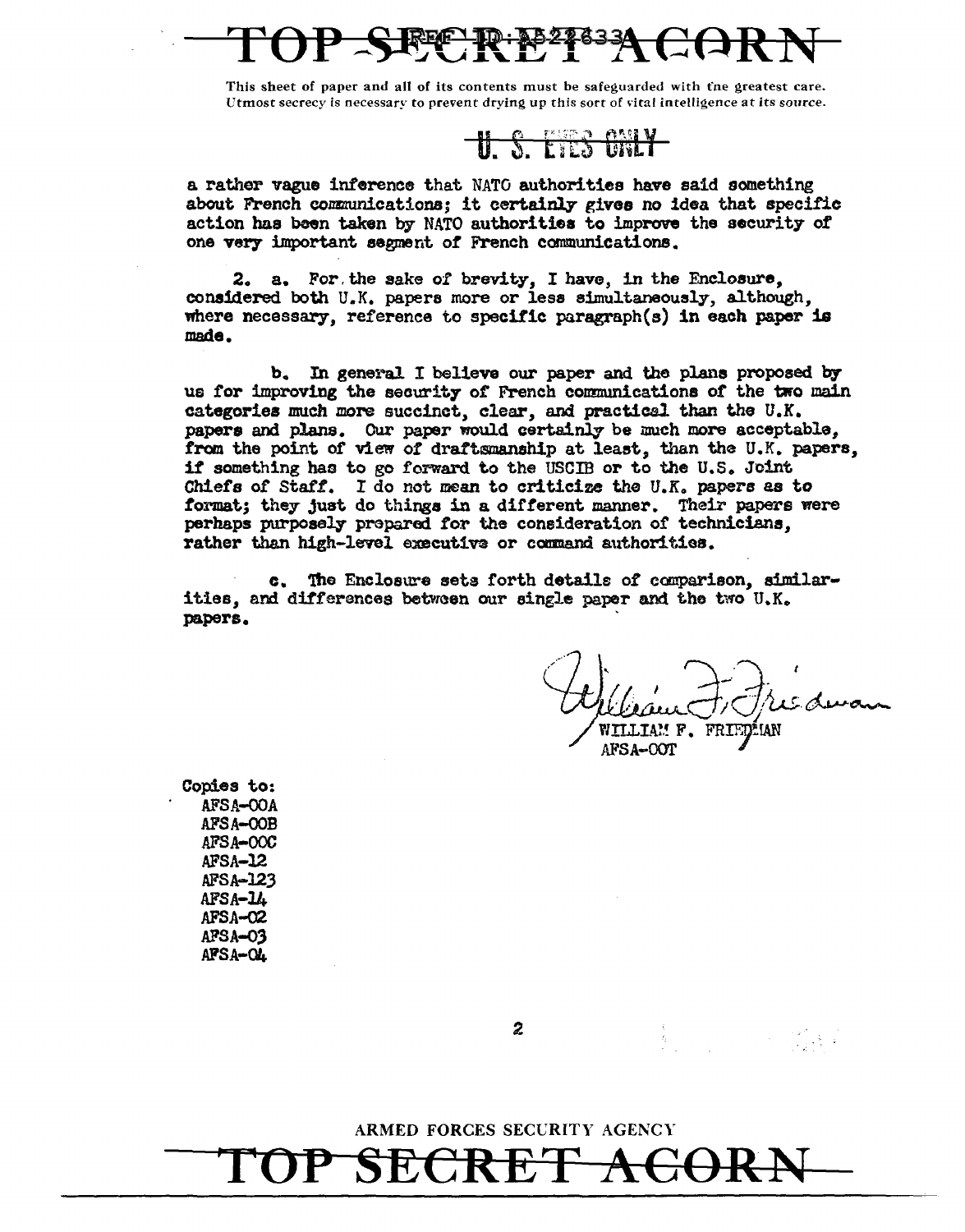This sheet of paper and all of its contents must be safeguarded with the greatest care. Utmost secrecy is necessary to prevent drying up this sort of vital intelligence at its source.

<u>n e rea estv</u>

a rather vague inference that NATO authorities have said something about French communications; it certainly gives no idea that specific action has been taken by NATO authorities to improve the security of one very important segment of French communications.

2. a. For the sake of brevity, I have, in the Enclosure, considered both U.K. papers more or less simultaneously, although, where necessary, reference to specific paragraph(s) in each paper is made.

In general I believe our paper and the plans proposed by b. us for improving the security of French communications of the two main categories much more succinct, clear, and practical than the U.K. papers and plans. Our paper would certainly be much more acceptable, from the point of view of draftsmanship at least, than the U.K. papers, if something has to go forward to the USCIB or to the U.S. Joint Chiefs of Staff. I do not mean to criticize the U.K. papers as to format; they just do things in a different manner. Their papers were perhaps purposely prepared for the consideration of technicians, rather than high-level executive or command authorities.

c. The Enclosure sets forth details of comparison, similarities, and differences between our single paper and the two U.K. papers.

AM F. FRI AFSA-OOT

Copies to: **AFSA-OOA** AFSA-OOB AFSA-OOC AFSA-12 AFSA-123  $AFSA - L$ AFSA-02 AFSA-03 AFSA-O4

 $\mathbf{z}$ 

ARMED FORCES SECURITY AGENCY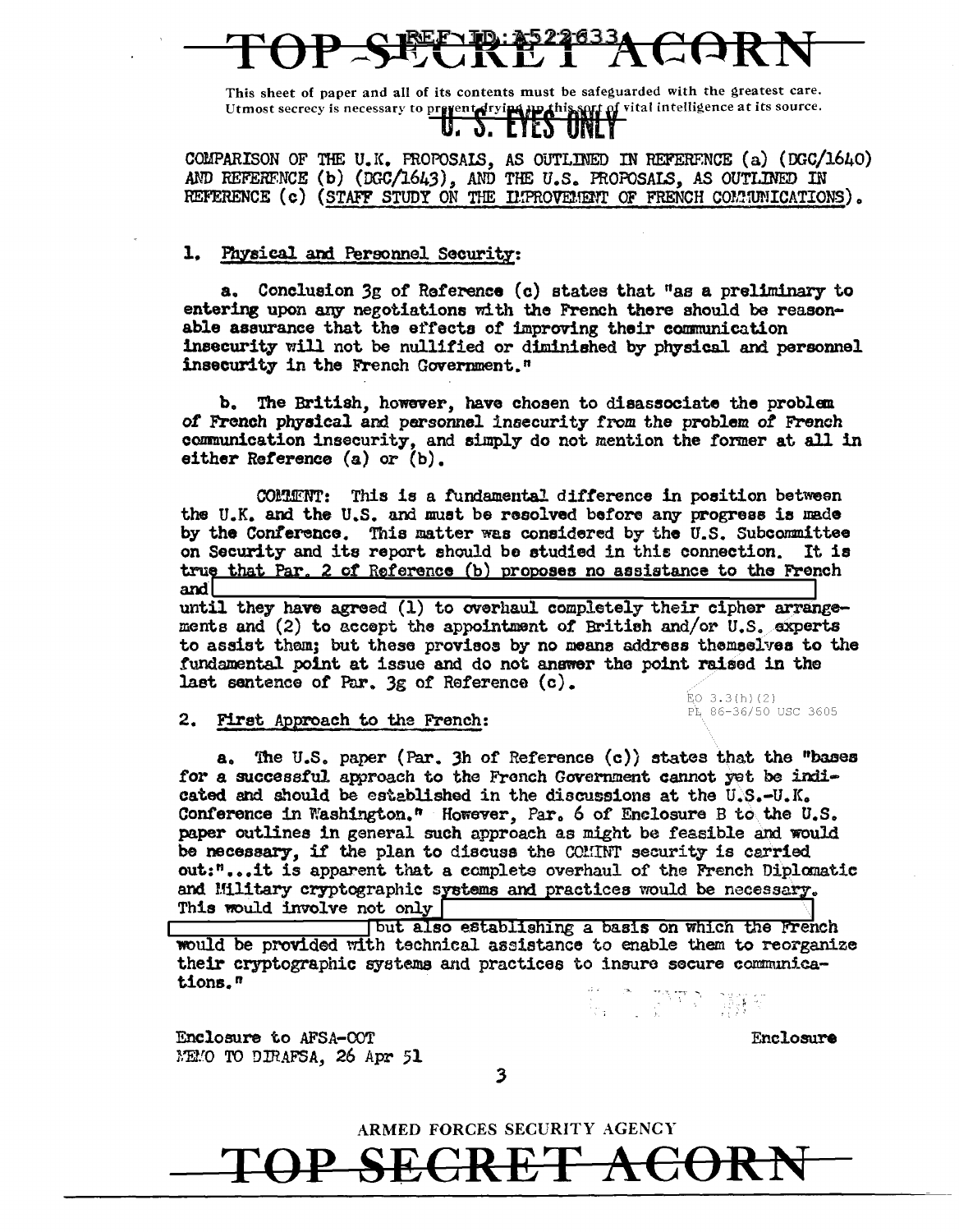This sheet of paper and all of its contents must be safeguarded with the greatest care. Utmost secrecy is necessary to prevent drying up this serf of vital intelligence at its source.

COMPARISON OF THE U.K. PROPOSAIS, AS OUTLINED IN REFERENCE (a) (DGC/1640) AND REFERENCE (b) (DGC/1643), AND THE U.S. PROPOSALS, AS OUTLINED IN REFERENCE (c) (STAFF STUDY ON THE LIPROVEMENT OF FRENCH COMMUNICATIONS).

### 1. Physical and Personnel Security:

a. Conclusion 3g of Reference (c) states that "as a preliminary to entering upon any negotiations with the French there should be reasonable assurance that the effects of improving their communication insecurity will not be nullified or diminished by physical and personnel insecurity in the French Government."

b. The British, however, have chosen to disassociate the problem of French physical and personnel insecurity from the problem of French communication insecurity, and simply do not mention the former at all in either Reference (a) or (b).

COMMENT: This is a fundamental difference in position between the U.K. and the U.S. and must be resolved before any progress is made by the Conference. This matter was considered by the U.S. Subcommittee on Security and its report should be studied in this connection. It is true that Par. 2 of Reference (b) proposes no assistance to the French and

until they have agreed (1) to overhaul completely their cipher arrangements and (2) to accept the appointment of British and/or U.S. experts to assist them; but these provisos by no means address themselves to the fundamental point at issue and do not answer the point raised in the last sentence of Par.  $3g$  of Reference  $(c)$ .

> $EO$  3.3(h)(2) PL 86-36/50 USC 3605

2. First Approach to the French:

The U.S. paper (Par. 3h of Reference  $(c)$ ) states that the "bases а. for a successful approach to the French Government cannot yet be indicated and should be established in the discussions at the U.S.-U.K. Conference in Washington." However, Par. 6 of Enclosure B to the U.S. paper outlines in general such approach as might be feasible and would be necessary, if the plan to discuss the COMMT security is carried out:"...it is apparent that a complete overhaul of the French Diplomatic and Military cryptographic systems and practices would be necessary. This would involve not only |

but also establishing a basis on which the French would be provided with technical assistance to enable them to reorganize their cryptographic systems and practices to insure secure communications."

Enclosure to AFSA-COT NEMO TO DIRAFSA, 26 Apr 51

1. DITO WY

Enclosure

3

ARMED FORCES SECURITY AGENCY

ぜ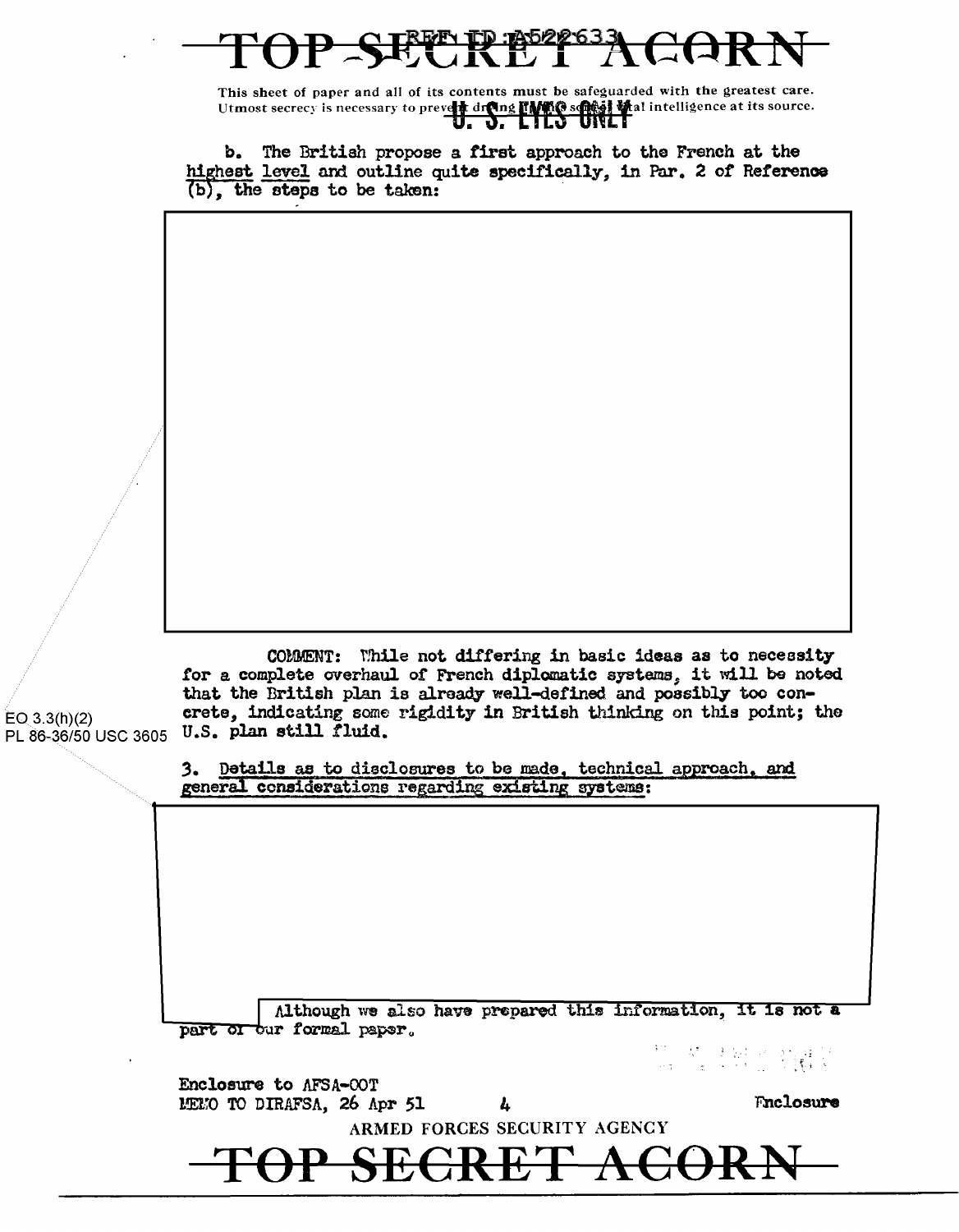This sheet of paper and all of its contents must be safeguarded with the greatest care. Utmost secrecy is necessary to prevent drama many sets of the ligence at its source.

b. The British propose a first approach to the French at the highest level and outline quite specifically, in Par. 2 of Reference  $(b)$ , the steps to be taken:

COMMENT: While not differing in basic ideas as to necessity tor a complete overhaul of French diplomatic systems\_, it will be noted that the British plan is already well-defined. and possibly too con- $E_{\text{O}_2(3.3(h)/2)}$  crete, indicating some rigidity in British thinking on this point; the PL 86-36/50 USC 3605 U.S. plan still fluid.

> 3. Details as to disclosures to be made, technical approach, and general considerations regarding existing systems:

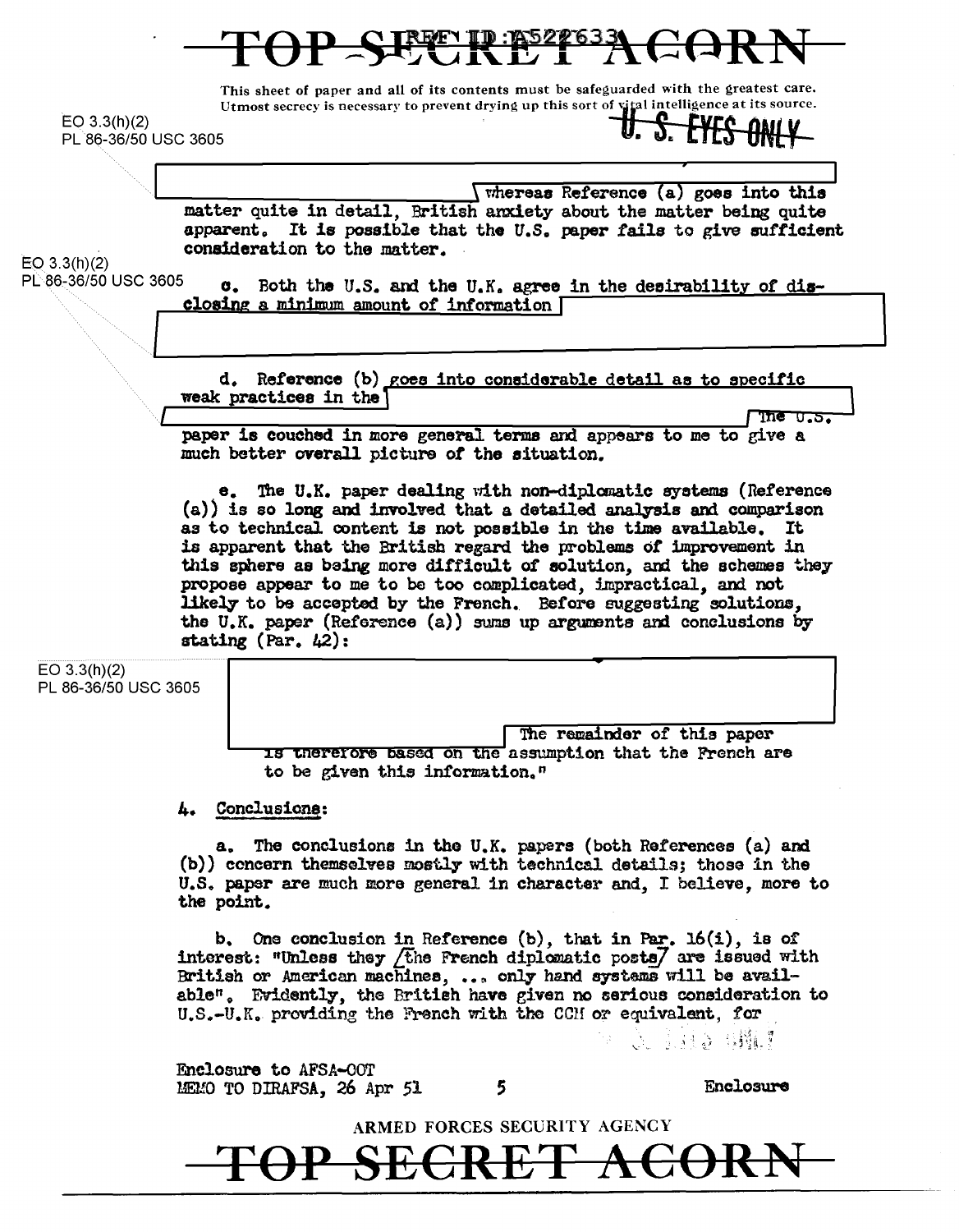This sheet of paper and all of its contents must be safeguarded with the greatest care. Utmost secrecy is necessary to prevent drying up this sort of vital intelligence at its source.

 $EO 3.3(h)(2)$ PL 86-36/50 USC 3605

*(whereas Reference (a) goes into this* matter quite in detail. British anxiety about the matter being quite apparent. It is possible that the U.S. paper fails to give sufficient consideration to the matter.

 $EO$  3.3(h)(2) PL 86-36/50 USC 3605

c. Both the U.S. and the U.K. agree in the desirability of disclosing a minimum amount of information [

d. Reference (b) goes into considerable detail as to specific weak practices in the

**The U.S.** paper is couched in more general terms and appears to me to give a much better overall picture of the situation.

e. The U.K. paper dealing with non-diplomatic systems (Reference (a)) is so long and involved that a detailed analysis and comparison as to technical content is not possible in the time available. It is apparent that the British regard the problems of improvement in this sphere as being more difficult of solution, and the schemes they propose appear to me to be too complicated, impractical, and not likely to be accepted by the French. Before suggesting solutions. the U.K. paper (Reference (a)) sums up arguments and conclusions by stating (Par.  $42$ ):

| EO $3.3(h)(2)$       |
|----------------------|
| PL 86-36/50 USC 3605 |

The remainder of this paper is therefore based on the assumption that the French are to be given this information."

**Conclusions:** А.

a. The conclusions in the U.K. papers (both References (a) and (b)) concern themselves mostly with technical details; those in the U.S. paper are much more general in character and. I believe, more to the point.

b. One conclusion in Reference  $(b)$ , that in Par. 16(i), is of interest: "Unless they *f*the French diplomatic posts/ are issued with British or American machines, ... only hand systems will be available". Evidently, the British have given no serious consideration to U.S.-U.K. providing the French with the CCH or equivalent, for

(A) 法服务 (BPM)

Enclosure to AFSA-OOT MEMO TO DIRAFSA, 26 Apr 51

5

Enclosure

ARMED FORCES SECURITY AGENCY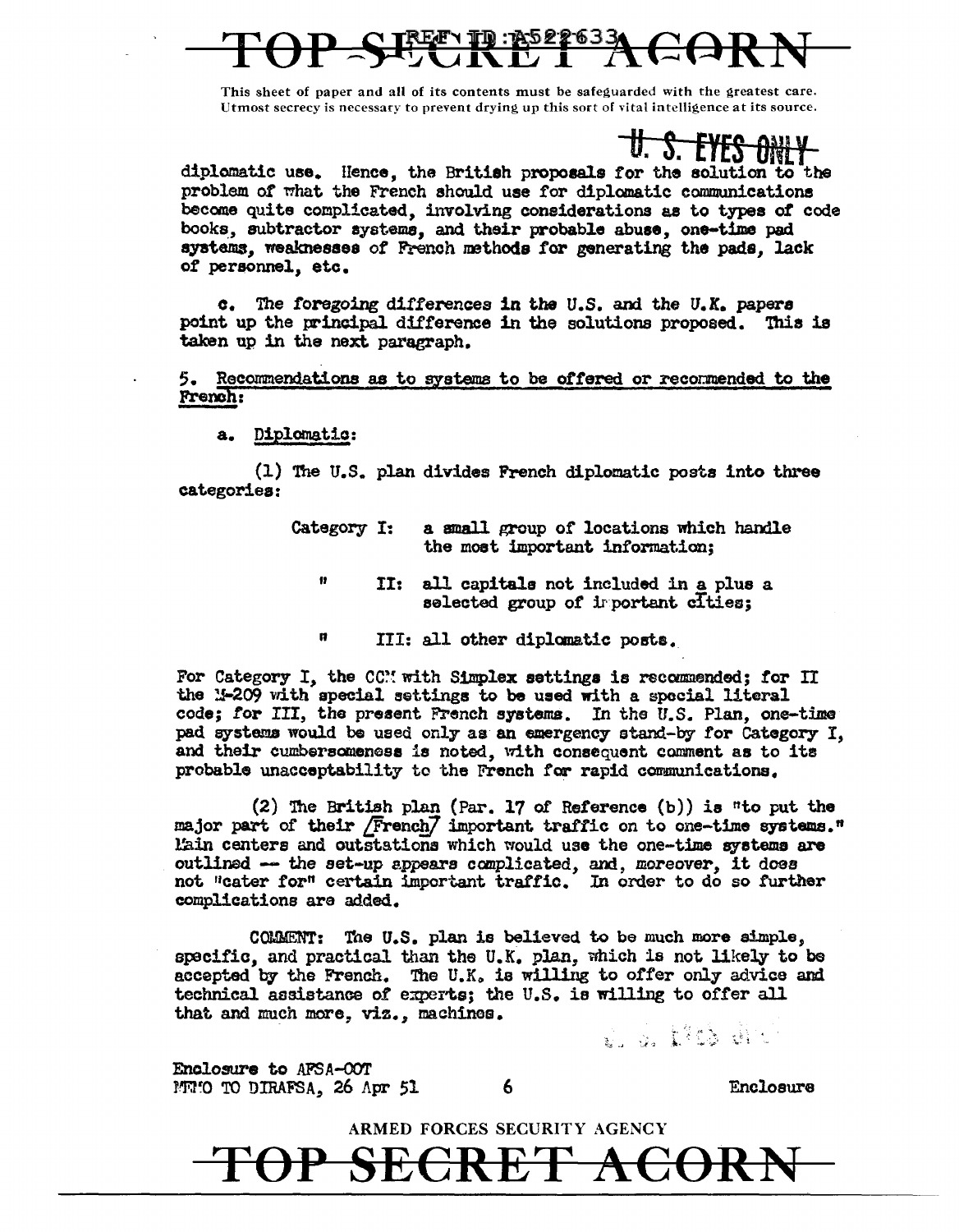This sheet of paper and all of its contents must be safequarded with the greatest care. Utmost secrecy is necessary to prevent drying up this sort of vital intelligence at its source.

U. S. EYES ONLY

diplomatic use. Hence, the British proposals for the solution to the problem of what the French should use for diplomatic communications become quite complicated, involving considerations as to types of code books, subtractor systems, and their probable abuse, one-time pad systems, weaknesses of French methods for generating the pads, lack of personnel, etc.

The foregoing differences in the U.S. and the U.K. papers  $\mathbf{c}$ . point up the principal difference in the solutions proposed. This is taken up in the next paragraph.

5. Recommendations as to systems to be offered or recommended to the French:

a. Diplomatic:

(1) The U.S. plan divides French diplomatic posts into three categories:

> Category I: a small group of locations which handle the most important information;

- $\mathbf{n}$ II: all capitals not included in a plus a selected group of important cities;
- Ħ. III: all other diplomatic posts.

For Category I, the CCM with Simplex settings is recommended; for II the M-209 with special settings to be used with a special literal code: for III, the present French systems. In the U.S. Plan, one-time pad systems would be used only as an emergency stand-by for Category I. and their cumbersomeness is noted, with consequent comment as to its probable unacceptability to the French for rapid communications.

(2) The British plan (Par. 17 of Reference (b)) is "to put the major part of their /French/ important traffic on to one-time systems." l'ain centers and outstations which would use the one-time systems are outlined -- the set-up appears complicated, and, moreover, it does not "cater for" certain important traffic. In order to do so further complications are added.

COMMENT: The U.S. plan is believed to be much more simple, specific, and practical than the U.K. plan, which is not likely to be accepted by the French. The U.K. is willing to offer only advice and technical assistance of experts; the U.S. is willing to offer all that and much more, viz., machines.

r. 3. 1713 dr.

Enclosure to AFSA-COT MWI'O TO DIRAFSA, 26 Apr 51

6

**Enclosure** 

ARMED FORCES SECURITY AGENCY